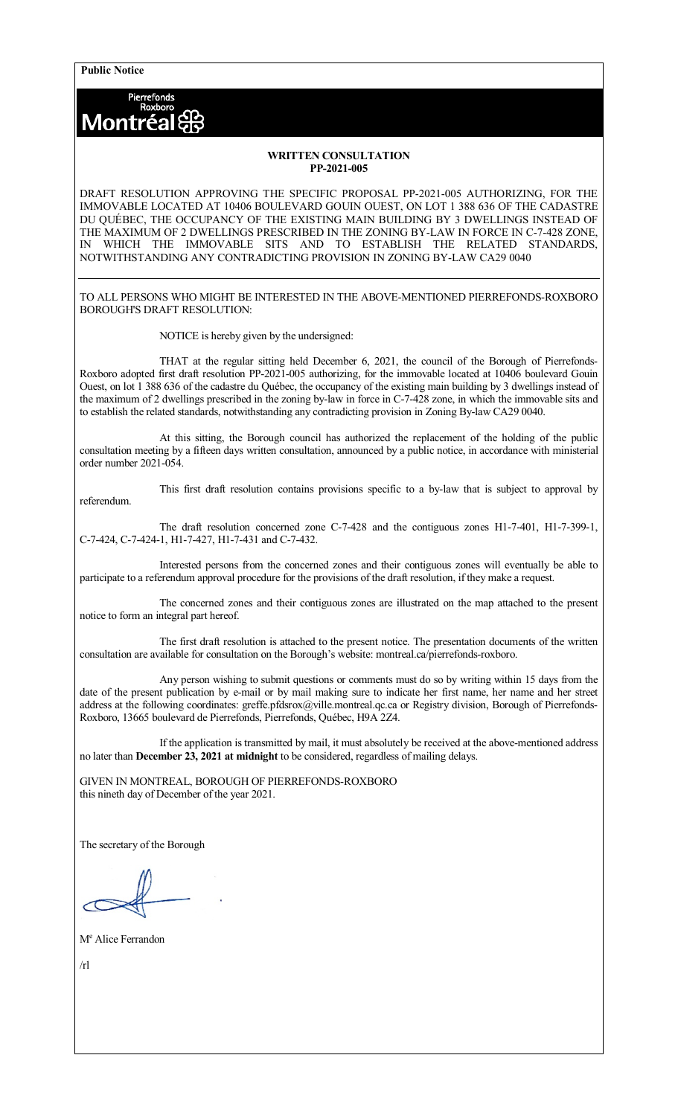**Public Notice**

Pierrefonds<br>Roxboro Montréa

## **WRITTEN CONSULTATION PP-2021-005**

DRAFT RESOLUTION APPROVING THE SPECIFIC PROPOSAL PP-2021-005 AUTHORIZING, FOR THE IMMOVABLE LOCATED AT 10406 BOULEVARD GOUIN OUEST, ON LOT 1 388 636 OF THE CADASTRE DU QUÉBEC, THE OCCUPANCY OF THE EXISTING MAIN BUILDING BY 3 DWELLINGS INSTEAD OF THE MAXIMUM OF 2 DWELLINGS PRESCRIBED IN THE ZONING BY-LAW IN FORCE IN C-7-428 ZONE, IN WHICH THE IMMOVABLE SITS AND TO ESTABLISH THE RELATED STANDARDS, NOTWITHSTANDING ANY CONTRADICTING PROVISION IN ZONING BY-LAW CA29 0040

TO ALL PERSONS WHO MIGHT BE INTERESTED IN THE ABOVE-MENTIONED PIERREFONDS-ROXBORO BOROUGH'S DRAFT RESOLUTION:

NOTICE is hereby given by the undersigned:

THAT at the regular sitting held December 6, 2021, the council of the Borough of Pierrefonds-Roxboro adopted first draft resolution PP-2021-005 authorizing, for the immovable located at 10406 boulevard Gouin Ouest, on lot 1 388 636 of the cadastre du Québec, the occupancy of the existing main building by 3 dwellings instead of the maximum of 2 dwellings prescribed in the zoning by-law in force in C-7-428 zone, in which the immovable sits and to establish the related standards, notwithstanding any contradicting provision in Zoning By-law CA29 0040.

At this sitting, the Borough council has authorized the replacement of the holding of the public consultation meeting by a fifteen days written consultation, announced by a public notice, in accordance with ministerial order number 2021-054.

referendum.

This first draft resolution contains provisions specific to a by-law that is subject to approval by

The draft resolution concerned zone C-7-428 and the contiguous zones H1-7-401, H1-7-399-1, C-7-424, C-7-424-1, H1-7-427, H1-7-431 and C-7-432.

Interested persons from the concerned zones and their contiguous zones will eventually be able to participate to a referendum approval procedure for the provisions of the draft resolution, if they make a request.

The concerned zones and their contiguous zones are illustrated on the map attached to the present notice to form an integral part hereof.

The first draft resolution is attached to the present notice. The presentation documents of the written consultation are available for consultation on the Borough's website: montreal.ca/pierrefonds-roxboro.

Any person wishing to submit questions or comments must do so by writing within 15 days from the date of the present publication by e-mail or by mail making sure to indicate her first name, her name and her street address at the following coordinates: greffe.pfdsrox@ville.montreal.qc.ca or Registry division, Borough of Pierrefonds-Roxboro, 13665 boulevard de Pierrefonds, Pierrefonds, Québec, H9A 2Z4.

If the application is transmitted by mail, it must absolutely be received at the above-mentioned address no later than **December 23, 2021 at midnight** to be considered, regardless of mailing delays.

GIVEN IN MONTREAL, BOROUGH OF PIERREFONDS-ROXBORO this nineth day of December of the year 2021.

The secretary of the Borough

M<sup>e</sup> Alice Ferrandon

 $/r<sub>l</sub>$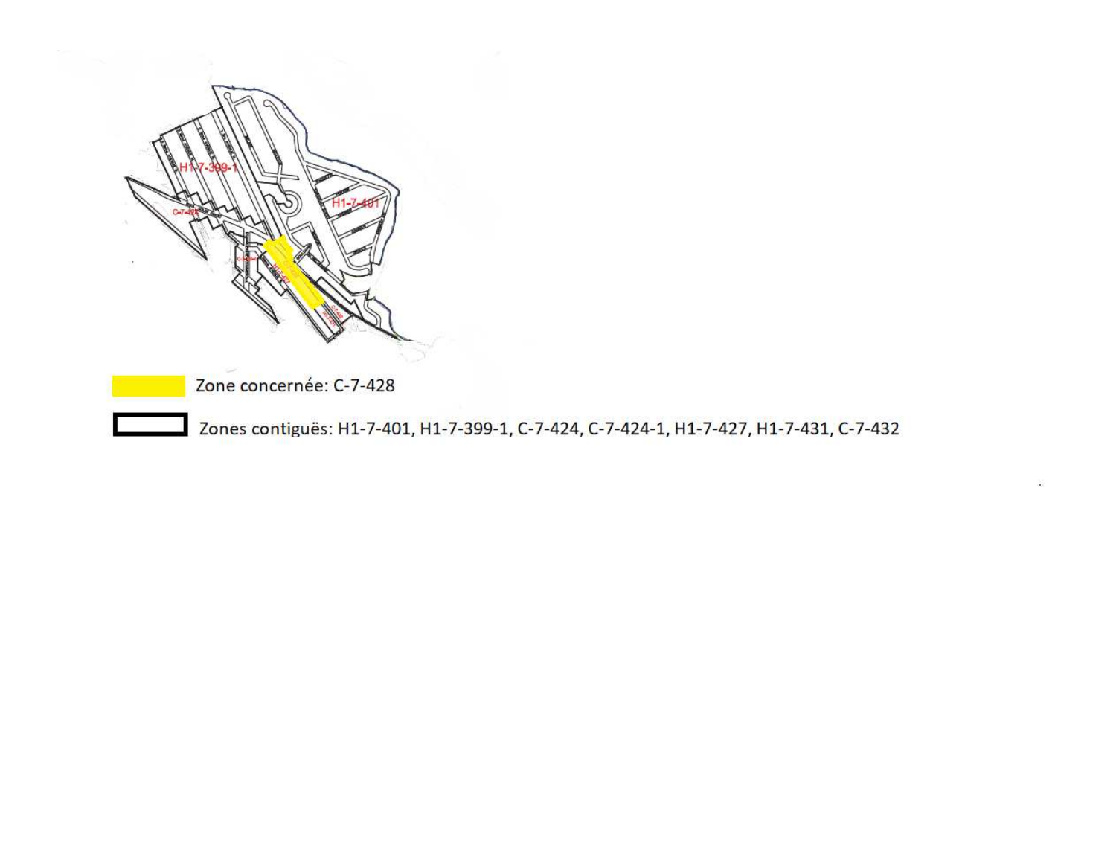

Zones contiguës: H1-7-401, H1-7-399-1, C-7-424, C-7-424-1, H1-7-427, H1-7-431, C-7-432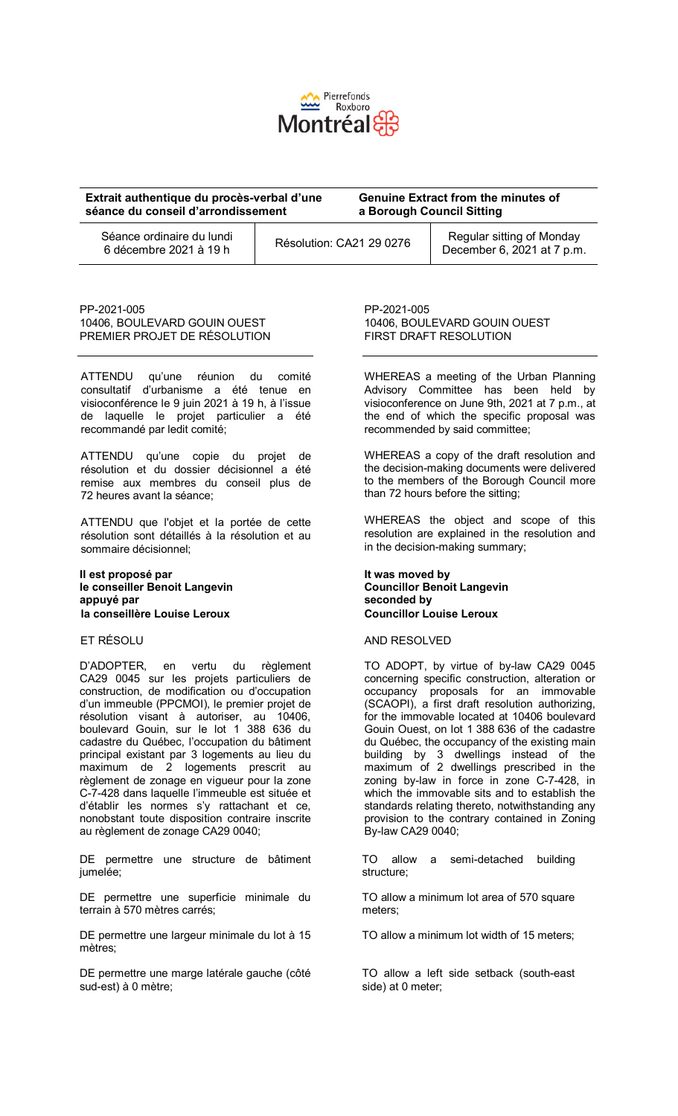

| Extrait authentique du procès-verbal d'une          |  | <b>Genuine Extract from the minutes of</b> |                                                         |
|-----------------------------------------------------|--|--------------------------------------------|---------------------------------------------------------|
| séance du conseil d'arrondissement                  |  | a Borough Council Sitting                  |                                                         |
| Séance ordinaire du lundi<br>6 décembre 2021 à 19 h |  | Résolution: CA21 29 0276                   | Regular sitting of Monday<br>December 6, 2021 at 7 p.m. |

PP-2021-005 10406, BOULEVARD GOUIN OUEST PREMIER PROJET DE RÉSOLUTION

ATTENDU qu'une réunion du comité consultatif d'urbanisme a été tenue en visioconférence le 9 juin 2021 à 19 h, à l'issue de laquelle le projet particulier a été recommandé par ledit comité;

ATTENDU qu'une copie du projet de résolution et du dossier décisionnel a été remise aux membres du conseil plus de 72 heures avant la séance;

ATTENDU que l'objet et la portée de cette résolution sont détaillés à la résolution et au sommaire décisionnel;

#### **Il est proposé par le conseiller Benoit Langevin appuyé par la conseillère Louise Leroux**

# ET RÉSOLU

D'ADOPTER, en vertu du règlement CA29 0045 sur les projets particuliers de construction, de modification ou d'occupation d'un immeuble (PPCMOI), le premier projet de résolution visant à autoriser, au 10406, boulevard Gouin, sur le lot 1 388 636 du cadastre du Québec, l'occupation du bâtiment principal existant par 3 logements au lieu du maximum de 2 logements prescrit au règlement de zonage en vigueur pour la zone C-7-428 dans laquelle l'immeuble est située et d'établir les normes s'y rattachant et ce, nonobstant toute disposition contraire inscrite au règlement de zonage CA29 0040;

DE permettre une structure de bâtiment jumelée;

DE permettre une superficie minimale du terrain à 570 mètres carrés;

DE permettre une largeur minimale du lot à 15 mètres;

DE permettre une marge latérale gauche (côté sud-est) à 0 mètre;

PP-2021-005 10406, BOULEVARD GOUIN OUEST FIRST DRAFT RESOLUTION

WHEREAS a meeting of the Urban Planning Advisory Committee has been held by visioconference on June 9th, 2021 at 7 p.m., at the end of which the specific proposal was recommended by said committee;

WHEREAS a copy of the draft resolution and the decision-making documents were delivered to the members of the Borough Council more than 72 hours before the sitting;

WHEREAS the object and scope of this resolution are explained in the resolution and in the decision-making summary;

## **It was moved by Councillor Benoit Langevin seconded by Councillor Louise Leroux**

## AND RESOLVED

TO ADOPT, by virtue of by-law CA29 0045 concerning specific construction, alteration or occupancy proposals for an immovable (SCAOPI), a first draft resolution authorizing, for the immovable located at 10406 boulevard Gouin Ouest, on lot 1 388 636 of the cadastre du Québec, the occupancy of the existing main building by 3 dwellings instead of the maximum of 2 dwellings prescribed in the zoning by-law in force in zone C-7-428, in which the immovable sits and to establish the standards relating thereto, notwithstanding any provision to the contrary contained in Zoning By-law CA29 0040;

TO allow a semi-detached building structure;

TO allow a minimum lot area of 570 square meters;

TO allow a minimum lot width of 15 meters;

TO allow a left side setback (south-east side) at 0 meter;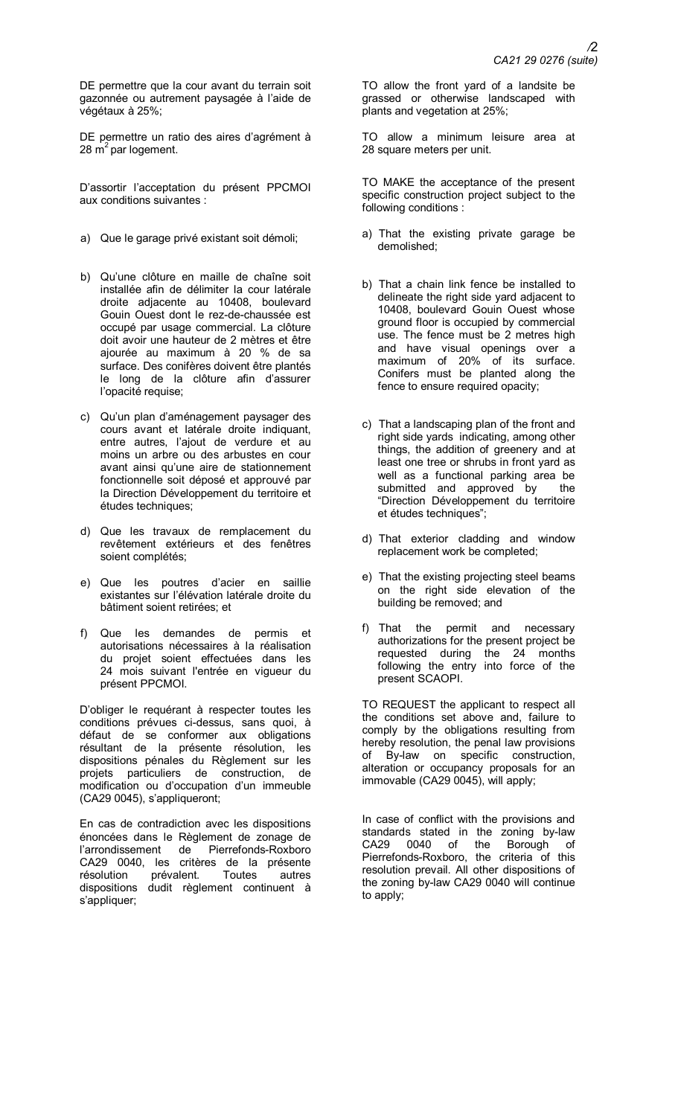DE permettre que la cour avant du terrain soit gazonnée ou autrement paysagée à l'aide de végétaux à 25%;

DE permettre un ratio des aires d'agrément à 28  $\text{m}^2$  par logement.

D'assortir l'acceptation du présent PPCMOI aux conditions suivantes :

- a) Que le garage privé existant soit démoli;
- b) Qu'une clôture en maille de chaîne soit installée afin de délimiter la cour latérale droite adjacente au 10408, boulevard Gouin Ouest dont le rez-de-chaussée est occupé par usage commercial. La clôture doit avoir une hauteur de 2 mètres et être ajourée au maximum à 20 % de sa surface. Des conifères doivent être plantés le long de la clôture afin d'assurer l'opacité requise;
- c) Qu'un plan d'aménagement paysager des cours avant et latérale droite indiquant, entre autres, l'ajout de verdure et au moins un arbre ou des arbustes en cour avant ainsi qu'une aire de stationnement fonctionnelle soit déposé et approuvé par la Direction Développement du territoire et études techniques;
- d) Que les travaux de remplacement du revêtement extérieurs et des fenêtres soient complétés;
- e) Que les poutres d'acier en saillie existantes sur l'élévation latérale droite du bâtiment soient retirées; et
- f) Que les demandes de permis et autorisations nécessaires à la réalisation du projet soient effectuées dans les 24 mois suivant l'entrée en vigueur du présent PPCMOI.

D'obliger le requérant à respecter toutes les conditions prévues ci-dessus, sans quoi, à défaut de se conformer aux obligations résultant de la présente résolution, les dispositions pénales du Règlement sur les projets particuliers de construction, de modification ou d'occupation d'un immeuble (CA29 0045), s'appliqueront;

En cas de contradiction avec les dispositions énoncées dans le Règlement de zonage de l'arrondissement de Pierrefonds-Roxboro CA29 0040, les critères de la présente résolution prévalent. Toutes autres dispositions dudit règlement continuent à s'appliquer;

TO allow the front yard of a landsite be grassed or otherwise landscaped with plants and vegetation at 25%;

TO allow a minimum leisure area at 28 square meters per unit.

TO MAKE the acceptance of the present specific construction project subject to the following conditions :

- a) That the existing private garage be demolished;
- b) That a chain link fence be installed to delineate the right side yard adjacent to 10408, boulevard Gouin Ouest whose ground floor is occupied by commercial use. The fence must be  $2$  metres high and have visual openings over a maximum of 20% of its surface. Conifers must be planted along the fence to ensure required opacity;
- c) That a landscaping plan of the front and right side yards indicating, among other things, the addition of greenery and at least one tree or shrubs in front yard as well as a functional parking area be<br>submitted and approved by the submitted and approved by "Direction Développement du territoire et études techniques";
- d) That exterior cladding and window replacement work be completed;
- e) That the existing projecting steel beams on the right side elevation of the building be removed; and
- f) That the permit and necessary authorizations for the present project be requested during the 24 months following the entry into force of the present SCAOPI.

TO REQUEST the applicant to respect all the conditions set above and, failure to comply by the obligations resulting from hereby resolution, the penal law provisions of By-law on specific construction, alteration or occupancy proposals for an immovable (CA29 0045), will apply;

In case of conflict with the provisions and standards stated in the zoning by-law CA29 0040 of the Borough of Pierrefonds-Roxboro, the criteria of this resolution prevail. All other dispositions of the zoning by-law CA29 0040 will continue to apply;